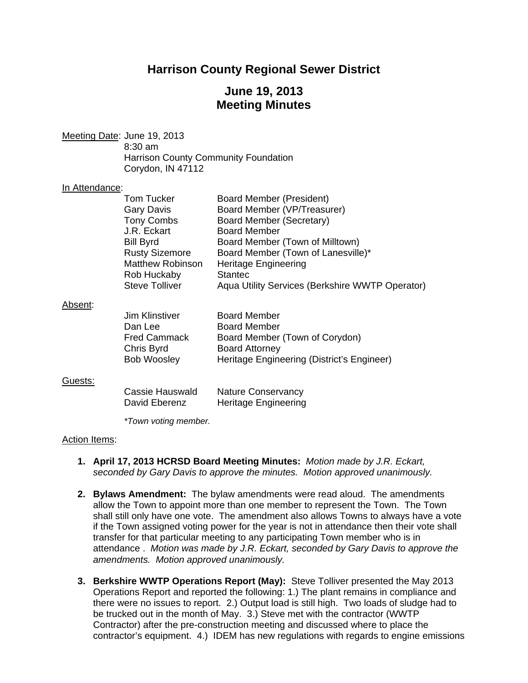# **Harrison County Regional Sewer District**

# **June 19, 2013 Meeting Minutes**

Meeting Date: June 19, 2013 8:30 am Harrison County Community Foundation Corydon, IN 47112

#### In Attendance:

| <b>Tom Tucker</b>       | <b>Board Member (President)</b>                 |
|-------------------------|-------------------------------------------------|
| <b>Gary Davis</b>       | Board Member (VP/Treasurer)                     |
| <b>Tony Combs</b>       | Board Member (Secretary)                        |
| J.R. Eckart             | <b>Board Member</b>                             |
| <b>Bill Byrd</b>        | Board Member (Town of Milltown)                 |
| <b>Rusty Sizemore</b>   | Board Member (Town of Lanesville)*              |
| <b>Matthew Robinson</b> | <b>Heritage Engineering</b>                     |
| Rob Huckaby             | <b>Stantec</b>                                  |
| <b>Steve Tolliver</b>   | Aqua Utility Services (Berkshire WWTP Operator) |
|                         |                                                 |

#### Absent:

| Jim Klinstiver      | <b>Board Member</b>                        |
|---------------------|--------------------------------------------|
| Dan Lee             | <b>Board Member</b>                        |
| <b>Fred Cammack</b> | Board Member (Town of Corydon)             |
| Chris Byrd          | <b>Board Attorney</b>                      |
| <b>Bob Woosley</b>  | Heritage Engineering (District's Engineer) |

#### Guests:

| Cassie Hauswald | <b>Nature Conservancy</b>   |
|-----------------|-----------------------------|
| David Eberenz   | <b>Heritage Engineering</b> |

 *\*Town voting member.* 

#### Action Items:

- **1. April 17, 2013 HCRSD Board Meeting Minutes:** *Motion made by J.R. Eckart, seconded by Gary Davis to approve the minutes. Motion approved unanimously.*
- **2. Bylaws Amendment:** The bylaw amendments were read aloud. The amendments allow the Town to appoint more than one member to represent the Town. The Town shall still only have one vote. The amendment also allows Towns to always have a vote if the Town assigned voting power for the year is not in attendance then their vote shall transfer for that particular meeting to any participating Town member who is in attendance . *Motion was made by J.R. Eckart, seconded by Gary Davis to approve the amendments. Motion approved unanimously.*
- **3. Berkshire WWTP Operations Report (May):** Steve Tolliver presented the May 2013 Operations Report and reported the following: 1.) The plant remains in compliance and there were no issues to report. 2.) Output load is still high. Two loads of sludge had to be trucked out in the month of May. 3.) Steve met with the contractor (WWTP Contractor) after the pre-construction meeting and discussed where to place the contractor's equipment. 4.) IDEM has new regulations with regards to engine emissions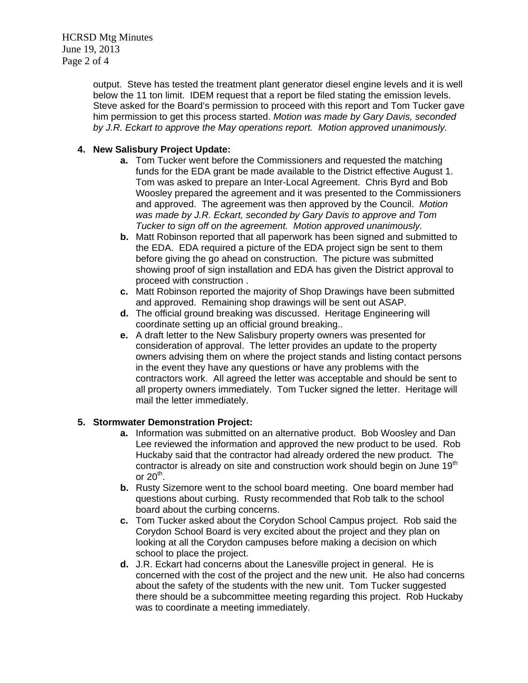HCRSD Mtg Minutes June 19, 2013 Page 2 of 4

> output. Steve has tested the treatment plant generator diesel engine levels and it is well below the 11 ton limit. IDEM request that a report be filed stating the emission levels. Steve asked for the Board's permission to proceed with this report and Tom Tucker gave him permission to get this process started. *Motion was made by Gary Davis, seconded by J.R. Eckart to approve the May operations report. Motion approved unanimously.*

## **4. New Salisbury Project Update:**

- **a.** Tom Tucker went before the Commissioners and requested the matching funds for the EDA grant be made available to the District effective August 1. Tom was asked to prepare an Inter-Local Agreement. Chris Byrd and Bob Woosley prepared the agreement and it was presented to the Commissioners and approved. The agreement was then approved by the Council. *Motion was made by J.R. Eckart, seconded by Gary Davis to approve and Tom Tucker to sign off on the agreement. Motion approved unanimously.*
- **b.** Matt Robinson reported that all paperwork has been signed and submitted to the EDA. EDA required a picture of the EDA project sign be sent to them before giving the go ahead on construction. The picture was submitted showing proof of sign installation and EDA has given the District approval to proceed with construction .
- **c.** Matt Robinson reported the majority of Shop Drawings have been submitted and approved. Remaining shop drawings will be sent out ASAP.
- **d.** The official ground breaking was discussed. Heritage Engineering will coordinate setting up an official ground breaking..
- **e.** A draft letter to the New Salisbury property owners was presented for consideration of approval. The letter provides an update to the property owners advising them on where the project stands and listing contact persons in the event they have any questions or have any problems with the contractors work. All agreed the letter was acceptable and should be sent to all property owners immediately. Tom Tucker signed the letter. Heritage will mail the letter immediately.

## **5. Stormwater Demonstration Project:**

- **a.** Information was submitted on an alternative product. Bob Woosley and Dan Lee reviewed the information and approved the new product to be used. Rob Huckaby said that the contractor had already ordered the new product. The contractor is already on site and construction work should begin on June  $19<sup>th</sup>$ or  $20^{th}$ .
- **b.** Rusty Sizemore went to the school board meeting. One board member had questions about curbing. Rusty recommended that Rob talk to the school board about the curbing concerns.
- **c.** Tom Tucker asked about the Corydon School Campus project. Rob said the Corydon School Board is very excited about the project and they plan on looking at all the Corydon campuses before making a decision on which school to place the project.
- **d.** J.R. Eckart had concerns about the Lanesville project in general. He is concerned with the cost of the project and the new unit. He also had concerns about the safety of the students with the new unit. Tom Tucker suggested there should be a subcommittee meeting regarding this project. Rob Huckaby was to coordinate a meeting immediately.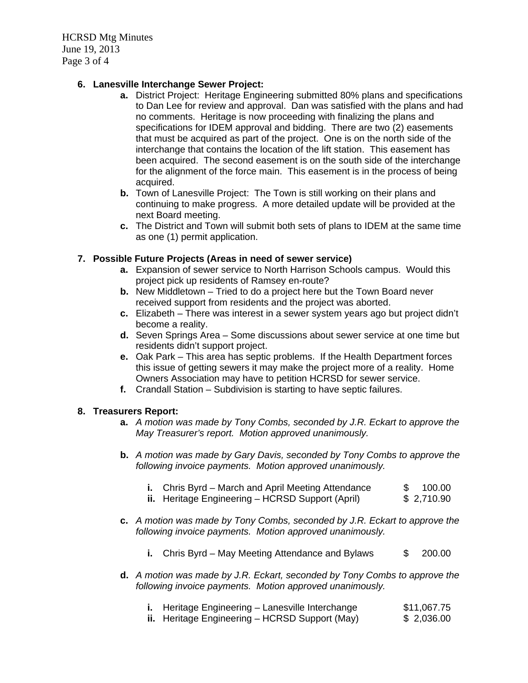HCRSD Mtg Minutes June 19, 2013 Page 3 of 4

### **6. Lanesville Interchange Sewer Project:**

- **a.** District Project: Heritage Engineering submitted 80% plans and specifications to Dan Lee for review and approval. Dan was satisfied with the plans and had no comments. Heritage is now proceeding with finalizing the plans and specifications for IDEM approval and bidding. There are two (2) easements that must be acquired as part of the project. One is on the north side of the interchange that contains the location of the lift station. This easement has been acquired. The second easement is on the south side of the interchange for the alignment of the force main. This easement is in the process of being acquired.
- **b.** Town of Lanesville Project: The Town is still working on their plans and continuing to make progress. A more detailed update will be provided at the next Board meeting.
- **c.** The District and Town will submit both sets of plans to IDEM at the same time as one (1) permit application.

### **7. Possible Future Projects (Areas in need of sewer service)**

- **a.** Expansion of sewer service to North Harrison Schools campus. Would this project pick up residents of Ramsey en-route?
- **b.** New Middletown Tried to do a project here but the Town Board never received support from residents and the project was aborted.
- **c.** Elizabeth There was interest in a sewer system years ago but project didn't become a reality.
- **d.** Seven Springs Area Some discussions about sewer service at one time but residents didn't support project.
- **e.** Oak Park This area has septic problems. If the Health Department forces this issue of getting sewers it may make the project more of a reality. Home Owners Association may have to petition HCRSD for sewer service.
- **f.** Crandall Station Subdivision is starting to have septic failures.

#### **8. Treasurers Report:**

- **a.** *A motion was made by Tony Combs, seconded by J.R. Eckart to approve the May Treasurer's report. Motion approved unanimously.*
- **b.** *A motion was made by Gary Davis, seconded by Tony Combs to approve the following invoice payments. Motion approved unanimously.* 
	- **i.** Chris Byrd March and April Meeting Attendance  $\qquad$  \$ 100.00
	- **ii.** Heritage Engineering HCRSD Support (April) \$ 2,710.90
- **c.** *A motion was made by Tony Combs, seconded by J.R. Eckart to approve the following invoice payments. Motion approved unanimously.* 
	- **i.** Chris Byrd May Meeting Attendance and Bylaws  $\qquad$  \$ 200.00
- **d.** *A motion was made by J.R. Eckart, seconded by Tony Combs to approve the following invoice payments. Motion approved unanimously.*

| <b>i.</b> Heritage Engineering – Lanesville Interchange | \$11,067.75 |
|---------------------------------------------------------|-------------|
| <b>ii.</b> Heritage Engineering – HCRSD Support (May)   | \$2,036.00  |